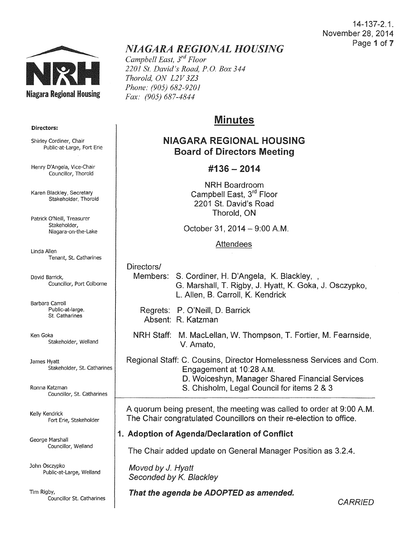

# *NIAGARA REGIONAL HOUSING*

*Campbell East, 3rd Floor 2201 St. David's Road, P.O. Box 344 Thorold, ON L2V 3Z3 Phone: (905) 682-9201 Fax: (905) 687-4844* 

# Minutes

# NIAGARA REGIONAL HOUSING Board of Directors Meeting

# #136- 2014

NRH Boardroom Campbell East, 3rd Floor 2201 St. David's Road Thorold, ON

October 31, 2014 - 9:00 A.M.

# Attendees

Directors/

Members: S. Cordiner, H. D'Angela, K. Blackley, , G. Marshall, T. Rigby, J. Hyatt, K. Goka, J. Osczypko, L. Allen, B. Carroll, K. Kendrick

Regrets: P. O'Neill, D. Barrick Absent: R. Katzman

NRH Staff: M. Maclellan, W. Thompson, T. Fortier, M. Fearnside, V. Amato,

Regional Staff: C. Cousins, Director Homelessness Services and Com. Engagement at 10:28 AM. D. Woiceshyn, Manager Shared Financial Services

S. Chisholm, Legal Council for items 2 & 3

A quorum being present, the meeting was called to order at 9:00 A.M. The Chair congratulated Councillors on their re-election to office.

1. Adoption of Agenda/Declaration of Conflict

The Chair added update on General Manager Position as 3.2.4.

Moved by J. Hyatt Seconded by K. Blackley

That the agenda be ADOPTED as amended.

**CARRIED** 

14-137-2.1.

Page 1 of 7

November 28, 2014

#### Directors:

Shirley Cordiner, Chair Public-at-Large, Fort Erie

Henry D'Angela, Vice-Chair Councillor, Thorold

Karen Blackley, Secretary Stakeholder, Thorold

Patrick O'Neill, Treasurer Stakeholder, Niagara-on-the-Lake

Linda Allen Tenant, St. Catharines

David Barrick, Councillor, Port Colborne

Barbara Carroll Public-at-large, St. Catharines

Ken Goka Stakeholder, Weiland

James Hyatt Stakeholder, St. Catharines

Ronna Katzman Councillor, St. Catharines

Kelly Kendrick Fort Erie, Stakeholder

George Marshall Councillor, Weiland

John Osczypko Public-at-Large, Weiland

Tim Rigby, Councillor St. Catharines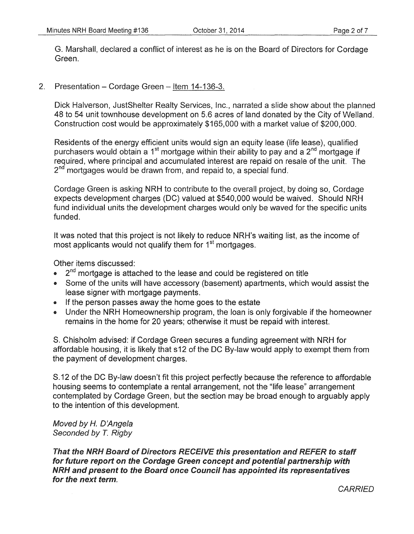G. Marshall, declared a conflict of interest as he is on the Board of Directors for Cordage Green.

## 2. Presentation - Cordage Green - Item 14-136-3.

Dick Halverson, JustShelter Realty Services, Inc., narrated a slide show about the planned 48 to 54 unit townhouse development on 5.6 acres of land donated by the City of Weiland. Construction cost would be approximately \$165,000 with a market value of \$200,000.

Residents of the energy efficient units would sign an equity lease (life lease), qualified purchasers would obtain a 1<sup>st</sup> mortgage within their ability to pay and a  $2<sup>nd</sup>$  mortgage if required, where principal and accumulated interest are repaid on resale of the unit. The  $2<sup>nd</sup>$  mortgages would be drawn from, and repaid to, a special fund.

Cordage Green is asking NRH to contribute to the overall project, by doing so, Cordage expects development charges (DC) valued at \$540,000 would be waived. Should NRH fund individual units the development charges would only be waved for the specific units funded.

It was noted that this project is not likely to reduce NRH's waiting list, as the income of most applicants would not qualify them for 1<sup>st</sup> mortgages.

Other items discussed:

- 2<sup>nd</sup> mortgage is attached to the lease and could be registered on title
- Some of the units will have accessory (basement) apartments, which would assist the lease signer with mortgage payments.
- If the person passes away the home goes to the estate
- Under the NRH Homeownership program, the loan is only forgivable if the homeowner remains in the home for 20 years; otherwise it must be repaid with interest.

S. Chisholm advised: if Cordage Green secures a funding agreement with NRH for affordable housing, it is likely that s12 of the DC By-law would apply to exempt them from the payment of development charges.

S.12 of the DC By-law doesn't fit this project perfectly because the reference to affordable housing seems to contemplate a rental arrangement, not the "life lease" arrangement contemplated by Cordage Green, but the section may be broad enough to arguably apply to the intention of this development.

Moved by *H.* D'Ange/a Seconded by *T.* Rigby

That the NRH Board of Directors RECEIVE this presentation and REFER to staff for future report on the Cordage Green concept and potential partnership with NRH and present to the Board once Council has appointed its representatives for the next term.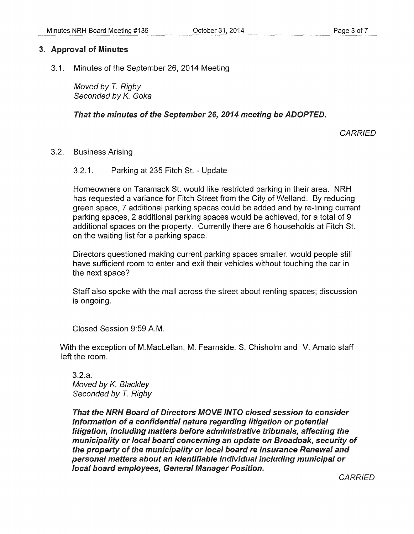## 3. Approval of Minutes

3.1. Minutes of the September 26, 2014 Meeting

Moved by *T.* Rigby Seconded by *K.* Goka

## That the minutes of the September 26, 2014 meeting be ADOPTED.

**CARRIED** 

#### 3.2. Business Arising

#### 3.2.1. Parking at 235 Fitch St. - Update

Homeowners on Taramack St. would like restricted parking in their area. NRH has requested a variance for Fitch Street from the City of Weiland. By reducing green space, 7 additional parking spaces could be added and by re-lining current parking spaces, 2 additional parking spaces would be achieved, for a total of 9 additional spaces on the property. Currently there are 6 households at Fitch St. on the waiting list for a parking space.

Directors questioned making current parking spaces smaller, would people still have sufficient room to enter and exit their vehicles without touching the car in the next space?

Staff also spoke with the mall across the street about renting spaces; discussion is ongoing.

Closed Session 9:59A.M.

With the exception of M.Maclellan, M. Fearnside, S. Chisholm and V. Amato staff left the room.

3.2.a. Moved by *K.* Blackley Seconded by *T.* Rigby

That the NRH Board of Directors MOVE INTO closed session to consider information of a confidential nature regarding litigation or potential litigation, including matters before administrative tribunals, affecting the municipality or local board concerning an update on Broadoak, security of the property of the municipality or local board re Insurance Renewal and personal matters about an identifiable individual including municipal or local board employees, General Manager Position.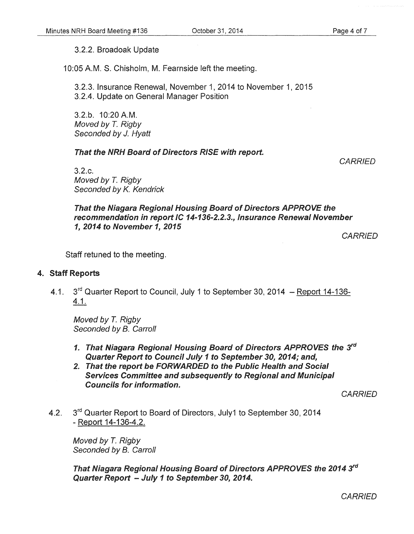# 3.2.2. Broadoak Update

10:05 AM. S. Chisholm, M. Fearnside left the meeting.

3.2.3. Insurance Renewal, November 1, 2014 to November 1, 2015 3.2.4. Update on General Manager Position

3.2.b. 10:20 A.M. Moved by *T.* Rigby Seconded by J. Hyatt

### That the NRH Board of Directors RISE with report.

*CARRIED* 

 $3.2.c.$ Moved by *T.* Rigby Seconded by K. Kendrick

That the Niagara Regional Housing Board of Directors APPROVE the recommendation in report IC 14-136-2.2.3., Insurance Renewal November *1, 2014* to November *1, 2015* 

**CARRIED** 

Staff retuned to the meeting.

#### 4. Staff Reports

4.1.  $3<sup>rd</sup>$  Quarter Report to Council, July 1 to September 30, 2014 - Report 14-136-4.1.

Moved by T. Rigby Seconded by B. Carroll

- 1. That Niagara Regional Housing Board of Directors APPROVES the 3<sup>rd</sup> Quarter Report to Council July *1* to September *30, 2014;* and,
- 2. That the report be FORWARDED to the Public Health and Social Services Committee and subsequently to Regional and Municipal Councils for information.

**CARRIED** 

4.2. 3<sup>rd</sup> Quarter Report to Board of Directors, July1 to September 30, 2014 -Report 14-136-4.2.

Moved by *T.* Rigby Seconded by B. Carroll

That Niagara Regional Housing Board of Directors APPROVES the 2014 3<sup>rd</sup> Quarter Report -July *1* to September *30, 2014.*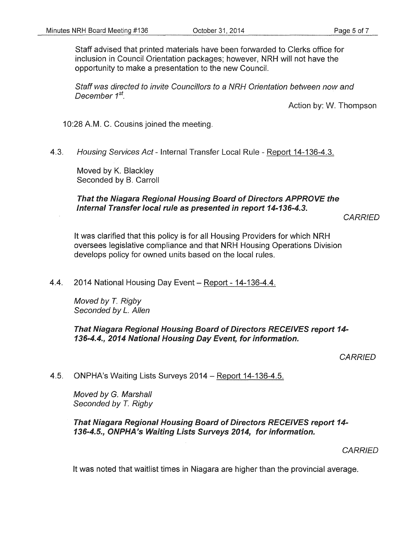Staff advised that printed materials have been forwarded to Clerks office for inclusion in Council Orientation packages; however, NRH will not have the opportunity to make a presentation to the new Council.

Staff was directed to invite Councillors to a NRH Orientation between now and December *1st.* 

Action by: W. Thompson

10:28 A.M. C. Cousins joined the meeting.

4.3. Housing Services Act- Internal Transfer Local Rule- Report 14-136-4.3.

Moved by K. Blackley Seconded by B. Carroll

## That the Niagara Regional Housing Board of Directors APPROVE the Internal Transfer local rule as presented in report 14-136-4.3.

**CARRIED** 

It was clarified that this policy is for all Housing Providers for which NRH oversees legislative compliance and that NRH Housing Operations Division develops policy for owned units based on the local rules.

4.4. 2014 National Housing Day Event- Report- 14-136-4.4.

Moved by T. Rigby Seconded by *L.* Allen

That Niagara Regional Housing Board of Directors RECEIVES report 14- 136-4.4., 2014 National Housing Day Event, for information.

**CARRIED** 

4.5. ONPHA's Waiting Lists Surveys 2014- Report 14-136-4.5.

Moved by G. Marshall Seconded by T. Rigby

That Niagara Regional Housing Board of Directors RECEIVES report 14- 136-4.5., ONPHA's Waiting Lists Surveys 2014, for information.

**CARRIED** 

It was noted that waitlist times in Niagara are higher than the provincial average.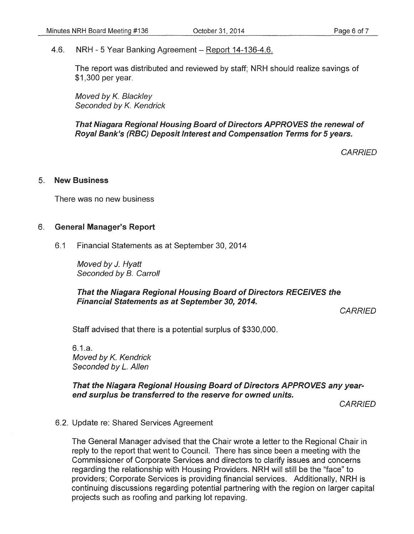# 4.6. NRH - 5 Year Banking Agreement - Report 14-136-4.6.

The report was distributed and reviewed by staff; NRH should realize savings of \$1,300 per year.

Moved by K. Blackley Seconded by K. Kendrick

That Niagara Regional Housing Board of Directors APPROVES the renewal of Royal Bank's (RBC) Deposit Interest and Compensation Terms for 5 years.

**CARRIED** 

### 5. New Business

There was no new business

#### 6. General Manager's Report

6.1 Financial Statements as at September 30, 2014

Moved by J. Hyatt Seconded by B. Carroll

That the Niagara Regional Housing Board of Directors RECEIVES the Financial Statements as at September 30, 2014.

**CARRIED** 

Staff advised that there is a potential surplus of \$330,000.

6.1.a. Moved by K. Kendrick Seconded by *L.* Allen

That the Niagara Regional Housing Board of Directors APPROVES any yearend surplus be transferred to the reserve for owned units.

**CARRIED** 

6.2. Update re: Shared Services Agreement

The General Manager advised that the Chair wrote a letter to the Regional Chair in reply to the report that went to Council. There has since been a meeting with the Commissioner of Corporate Services and directors to clarify issues and concerns regarding the relationship with Housing Providers. NRH will still be the "face" to providers; Corporate Services is providing financial services. Additionally, NRH is continuing discussions regarding potential partnering with the region on larger capital projects such as roofing and parking lot repaving.